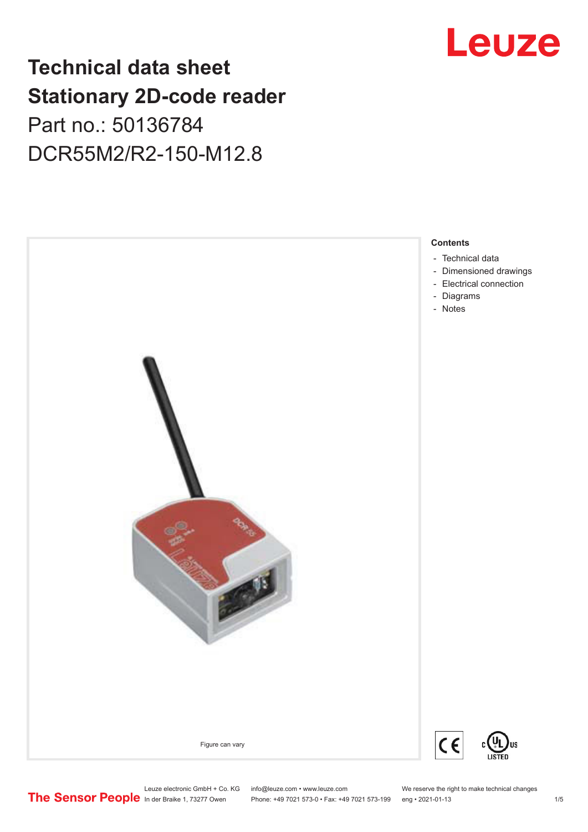# Leuze

# **Technical data sheet Stationary 2D-code reader** Part no.: 50136784 DCR55M2/R2-150-M12.8



Leuze electronic GmbH + Co. KG info@leuze.com • www.leuze.com We reserve the right to make technical changes<br>
The Sensor People in der Braike 1, 73277 Owen Phone: +49 7021 573-0 • Fax: +49 7021 573-199 eng • 2021-01-13

Phone: +49 7021 573-0 • Fax: +49 7021 573-199 eng • 2021-01-13 1 75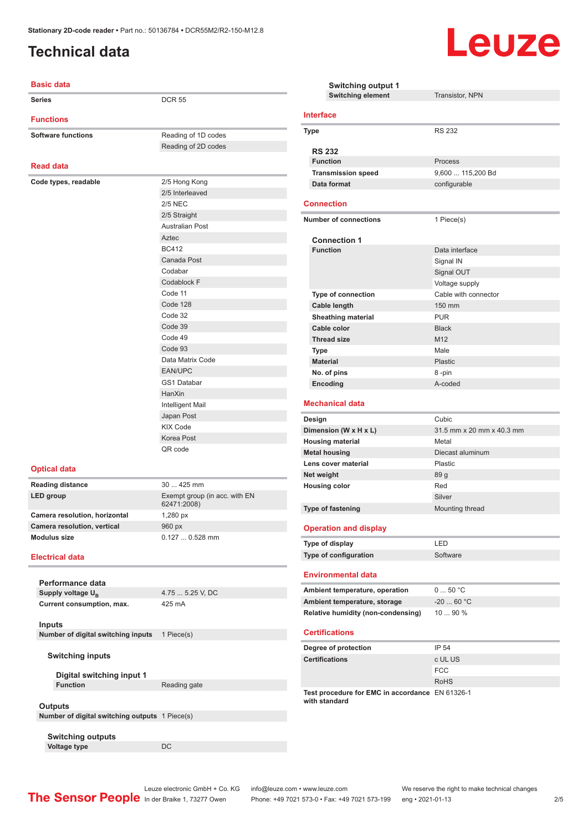# <span id="page-1-0"></span>**Technical data**

### Ì.



| <b>Basic data</b>                                         |                                              | Swi<br>Swit                      |
|-----------------------------------------------------------|----------------------------------------------|----------------------------------|
| <b>Series</b>                                             | <b>DCR 55</b>                                |                                  |
| <b>Functions</b>                                          |                                              | <b>Interface</b>                 |
| <b>Software functions</b>                                 | Reading of 1D codes                          | Type                             |
|                                                           | Reading of 2D codes                          | <b>RS 232</b>                    |
| <b>Read data</b>                                          |                                              | <b>Function</b>                  |
|                                                           |                                              | <b>Transmis</b>                  |
| Code types, readable                                      | 2/5 Hong Kong                                | Data form                        |
|                                                           | 2/5 Interleaved<br><b>2/5 NEC</b>            | <b>Connectio</b>                 |
|                                                           | 2/5 Straight                                 |                                  |
|                                                           | <b>Australian Post</b>                       | Number of c                      |
|                                                           | Aztec                                        |                                  |
|                                                           | <b>BC412</b>                                 | Connect<br><b>Function</b>       |
|                                                           | Canada Post                                  |                                  |
|                                                           | Codabar                                      |                                  |
|                                                           | Codablock F                                  |                                  |
|                                                           | Code 11                                      | Type of c                        |
|                                                           | Code 128                                     | <b>Cable len</b>                 |
|                                                           | Code 32                                      | Sheathing                        |
|                                                           | Code 39                                      | Cable col                        |
|                                                           | Code 49                                      | <b>Thread si</b>                 |
|                                                           | Code 93                                      | <b>Type</b>                      |
|                                                           | Data Matrix Code                             | <b>Material</b>                  |
|                                                           | <b>EAN/UPC</b>                               | No. of pin                       |
|                                                           | <b>GS1 Databar</b>                           | Encoding                         |
|                                                           | HanXin                                       |                                  |
|                                                           | Intelligent Mail                             | <b>Mechanica</b>                 |
|                                                           | Japan Post                                   | Design                           |
|                                                           | <b>KIX Code</b>                              | Dimension (                      |
|                                                           | Korea Post<br>QR code                        | <b>Housing ma</b>                |
|                                                           |                                              | <b>Metal housir</b>              |
| <b>Optical data</b>                                       |                                              | Lens cover i                     |
| <b>Reading distance</b>                                   | 30  425 mm                                   | Net weight<br><b>Housing col</b> |
| <b>LED</b> group                                          | Exempt group (in acc. with EN<br>62471:2008) |                                  |
| Camera resolution, horizontal                             | 1,280 px                                     | Type of fast                     |
| Camera resolution, vertical                               | 960 px                                       | <b>Operation</b>                 |
| <b>Modulus size</b>                                       | 0.127  0.528 mm                              | Type of disp                     |
| <b>Electrical data</b>                                    |                                              | Type of cont                     |
| Performance data                                          |                                              | <b>Environme</b>                 |
| Supply voltage U <sub>R</sub>                             | 4.75  5.25 V, DC                             | <b>Ambient ten</b>               |
| Current consumption, max.                                 | 425 mA                                       | <b>Ambient ten</b>               |
|                                                           |                                              | <b>Relative hur</b>              |
| <b>Inputs</b><br>Number of digital switching inputs       | 1 Piece(s)                                   | <b>Certificatio</b>              |
|                                                           |                                              |                                  |
| <b>Switching inputs</b>                                   |                                              | Degree of pi<br>Certification    |
| Digital switching input 1                                 |                                              |                                  |
| <b>Function</b>                                           | Reading gate                                 | Test proced                      |
|                                                           |                                              | with standar                     |
| Outputs<br>Number of digital switching outputs 1 Piece(s) |                                              |                                  |
|                                                           |                                              |                                  |
| <b>Switching outputs</b>                                  |                                              |                                  |
| <b>Voltage type</b>                                       | DC                                           |                                  |

| <b>Switching output 1</b><br><b>Switching element</b>            | Transistor, NPN                 |
|------------------------------------------------------------------|---------------------------------|
| Interface                                                        |                                 |
| Type                                                             | <b>RS 232</b>                   |
| <b>RS 232</b>                                                    |                                 |
| <b>Function</b>                                                  | Process                         |
| <b>Transmission speed</b>                                        | 9,600  115,200 Bd               |
| Data format                                                      | configurable                    |
| Connection                                                       |                                 |
| <b>Number of connections</b>                                     | 1 Piece(s)                      |
|                                                                  |                                 |
| <b>Connection 1</b>                                              |                                 |
| <b>Function</b>                                                  | Data interface                  |
|                                                                  | Signal IN                       |
|                                                                  | Signal OUT                      |
|                                                                  | Voltage supply                  |
| <b>Type of connection</b>                                        | Cable with connector            |
| Cable length                                                     | 150 mm                          |
| <b>Sheathing material</b>                                        | <b>PUR</b>                      |
| Cable color                                                      | <b>Black</b><br>M <sub>12</sub> |
| <b>Thread size</b>                                               | Male                            |
| <b>Type</b><br><b>Material</b>                                   |                                 |
|                                                                  | <b>Plastic</b>                  |
| No. of pins                                                      | 8-pin<br>A-coded                |
| Encoding                                                         |                                 |
| <b>Mechanical data</b>                                           |                                 |
| Design                                                           | Cubic                           |
| Dimension (W x H x L)                                            | 31.5 mm x 20 mm x 40.3 mm       |
| <b>Housing material</b>                                          | Metal                           |
| <b>Metal housing</b>                                             | Diecast aluminum                |
| Lens cover material                                              | Plastic                         |
| Net weight                                                       | 89 g                            |
| <b>Housing color</b>                                             | Red                             |
|                                                                  | Silver                          |
| <b>Type of fastening</b>                                         | Mounting thread                 |
| <b>Operation and display</b>                                     |                                 |
| Type of display                                                  | LED                             |
| Type of configuration                                            | Software                        |
| <b>Environmental data</b>                                        |                                 |
| Ambient temperature, operation                                   | 050 °C                          |
| Ambient temperature, storage                                     | -20  60 °C                      |
| <b>Relative humidity (non-condensing)</b>                        | 10  90 %                        |
| <b>Certifications</b>                                            |                                 |
| Degree of protection                                             | IP 54                           |
| <b>Certifications</b>                                            | c UL US                         |
|                                                                  | <b>FCC</b>                      |
|                                                                  | <b>RoHS</b>                     |
| Test procedure for EMC in accordance EN 61326-1<br>with standard |                                 |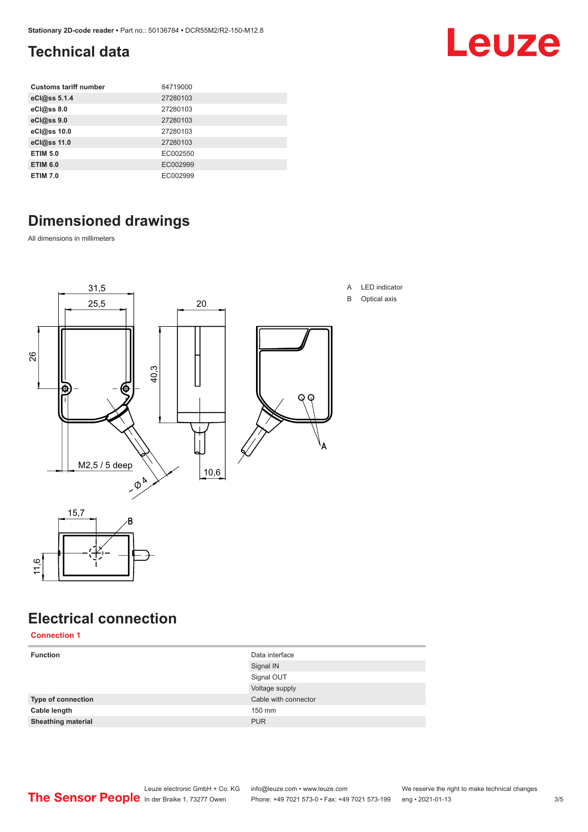# <span id="page-2-0"></span>**Technical data**

| <b>Customs tariff number</b> | 84719000 |
|------------------------------|----------|
| eCl@ss 5.1.4                 | 27280103 |
| eCl@ss 8.0                   | 27280103 |
| eCl@ss 9.0                   | 27280103 |
| eCl@ss 10.0                  | 27280103 |
| eCl@ss 11.0                  | 27280103 |
| <b>ETIM 5.0</b>              | EC002550 |
| <b>ETIM 6.0</b>              | EC002999 |
| <b>ETIM 7.0</b>              | EC002999 |

# **Dimensioned drawings**

All dimensions in millimeters



# **Electrical connection**

11,6

| <b>Connection 1</b>       |                      |
|---------------------------|----------------------|
| <b>Function</b>           | Data interface       |
|                           | Signal IN            |
|                           | Signal OUT           |
|                           | Voltage supply       |
| <b>Type of connection</b> | Cable with connector |
| Cable length              | 150 mm               |
| <b>Sheathing material</b> | <b>PUR</b>           |
|                           |                      |

### Leuze electronic GmbH + Co. KG info@leuze.com • www.leuze.com We reserve the right to make technical changes<br>
The Sensor People in der Braike 1, 73277 Owen Phone: +49 7021 573-0 • Fax: +49 7021 573-199 eng • 2021-01-13 Phone: +49 7021 573-0 • Fax: +49 7021 573-199 eng • 2021-01-13 3/5

Leuze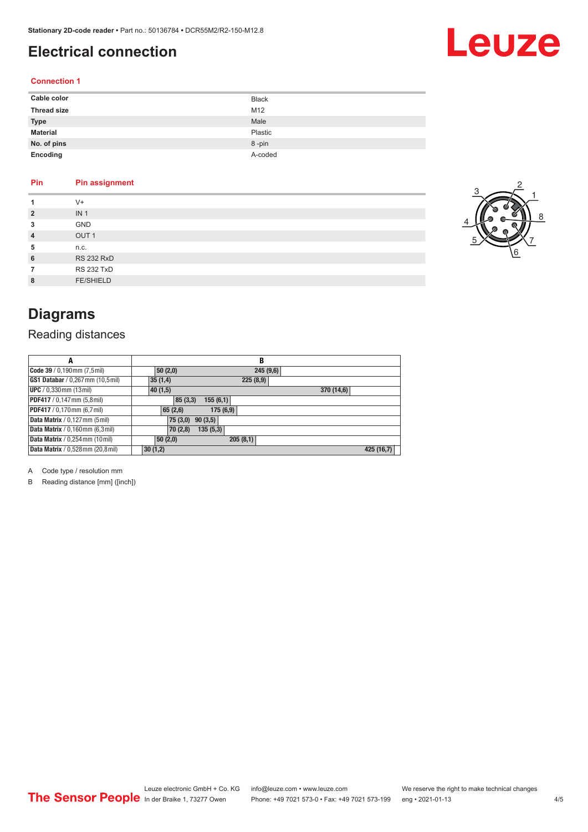# <span id="page-3-0"></span>**Electrical connection**

# Leuze

### **Connection 1**

| Cable color        | <b>Black</b> |
|--------------------|--------------|
| <b>Thread size</b> | M12          |
| <b>Type</b>        | Male         |
| <b>Material</b>    | Plastic      |
| No. of pins        | 8-pin        |
| Encoding           | A-coded      |

### **Pin Pin assignment**

| 1              | $V +$             |
|----------------|-------------------|
| $\overline{2}$ | IN <sub>1</sub>   |
| 3              | <b>GND</b>        |
| $\overline{4}$ | OUT <sub>1</sub>  |
| 5              | n.c.              |
| 6              | <b>RS 232 RxD</b> |
|                | <b>RS 232 TxD</b> |
| 8              | <b>FE/SHIELD</b>  |



# **Diagrams**

### Reading distances

| A                                      | в                     |            |
|----------------------------------------|-----------------------|------------|
| Code 39 / 0,190mm (7,5mil)             | 50(2,0)<br>245(9,6)   |            |
| GS1 Databar / 0,267 mm (10,5 mil)      | 35(1,4)<br>225(8,9)   |            |
| <b>UPC</b> / 0,330 mm (13 mil)         | 40(1,5)<br>370 (14,6) |            |
| PDF417 / 0,147 mm (5,8 mil)            | 155(6,1)<br>85(3,3)   |            |
| PDF417 / 0,170mm (6,7 mil)             | 175 (6,9)<br>65(2,6)  |            |
| Data Matrix / 0,127 mm (5 mil)         | 75(3,0)<br>90(3,5)    |            |
| Data Matrix / 0,160mm (6,3mil)         | 135(5,3)<br>70 (2,8)  |            |
| <b>Data Matrix</b> / 0,254 mm (10 mil) | 205(8,1)<br>50(2,0)   |            |
| Data Matrix / 0,528mm (20,8mil)        | 30(1,2)               | 425 (16,7) |

A Code type / resolution mm

B Reading distance [mm] ([inch])